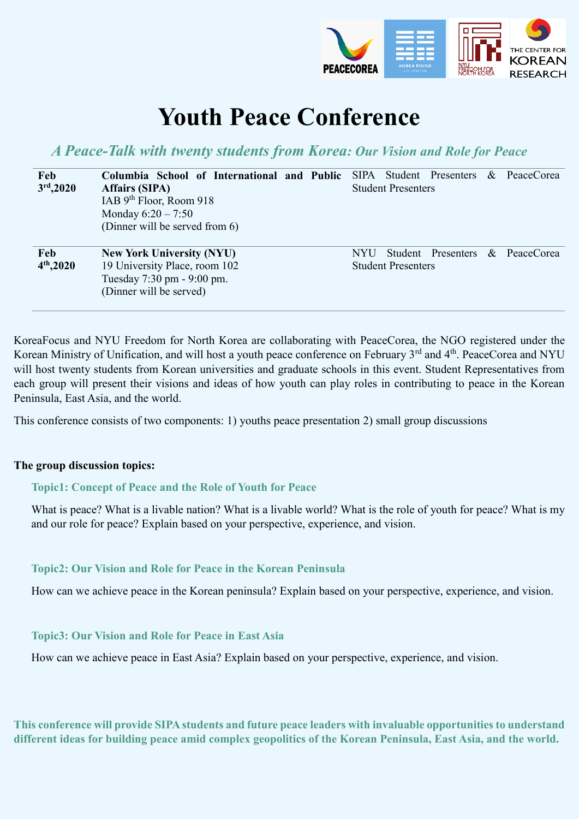

# **Youth Peace Conference**

*A Peace-Talk with twenty students from Korea: Our Vision and Role for Peace*

| Feb<br>3 <sup>rd</sup> , 2020 | Columbia School of International and Public SIPA Student Presenters<br><b>Affairs (SIPA)</b><br>IAB $9th$ Floor, Room 918<br>Monday $6:20 - 7:50$<br>(Dinner will be served from 6) | PeaceCorea<br>$\alpha$<br><b>Student Presenters</b>                           |  |
|-------------------------------|-------------------------------------------------------------------------------------------------------------------------------------------------------------------------------------|-------------------------------------------------------------------------------|--|
| Feb<br>$4th$ , 2020           | <b>New York University (NYU)</b><br>19 University Place, room 102<br>Tuesday 7:30 pm - 9:00 pm.<br>(Dinner will be served)                                                          | Student Presenters<br>& PeaceCorea<br><b>NYU</b><br><b>Student Presenters</b> |  |

KoreaFocus and NYU Freedom for North Korea are collaborating with PeaceCorea, the NGO registered under the Korean Ministry of Unification, and will host a youth peace conference on February 3<sup>rd</sup> and 4<sup>th</sup>. PeaceCorea and NYU will host twenty students from Korean universities and graduate schools in this event. Student Representatives from each group will present their visions and ideas of how youth can play roles in contributing to peace in the Korean Peninsula, East Asia, and the world.

This conference consists of two components: 1) youths peace presentation 2) small group discussions

#### **The group discussion topics:**

#### **Topic1: Concept of Peace and the Role of Youth for Peace**

What is peace? What is a livable nation? What is a livable world? What is the role of youth for peace? What is my and our role for peace? Explain based on your perspective, experience, and vision.

#### **Topic2: Our Vision and Role for Peace in the Korean Peninsula**

How can we achieve peace in the Korean peninsula? Explain based on your perspective, experience, and vision.

#### **Topic3: Our Vision and Role for Peace in East Asia**

How can we achieve peace in East Asia? Explain based on your perspective, experience, and vision.

**This conference will provide SIPA students and future peace leaders with invaluable opportunities to understand different ideas for building peace amid complex geopolitics of the Korean Peninsula, East Asia, and the world.**